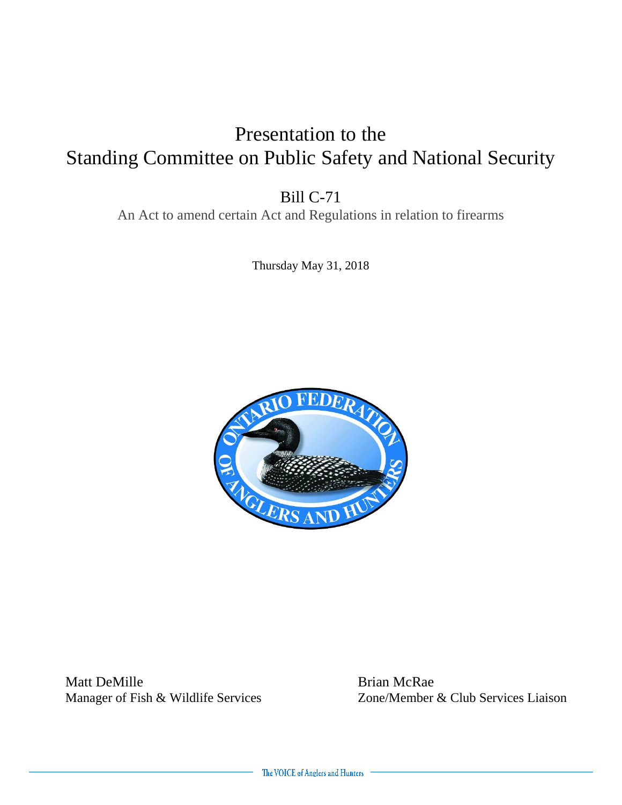### Presentation to the Standing Committee on Public Safety and National Security

Bill C-71

An Act to amend certain Act and Regulations in relation to firearms

Thursday May 31, 2018



Manager of Fish & Wildlife Services

Matt DeMille<br>
Manager of Fish & Wildlife Services<br>
Zone/Member & Club Services Liaison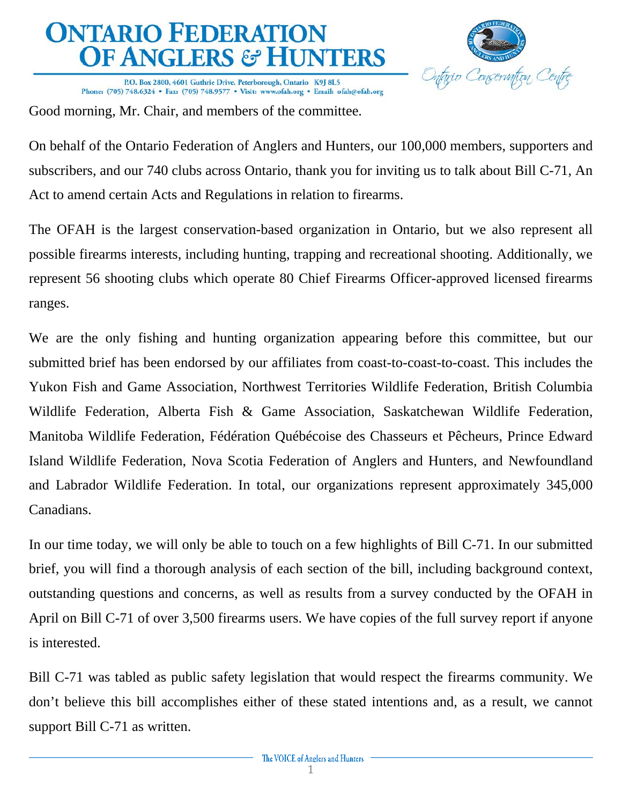Onfario Cons ervation Centre

P.O. Box 2800, 4601 Guthrie Drive, Peterborough, Ontario K9J 8L5 Phone: (705) 748.6324 • Fax: (705) 748.9577 • Visit: www.ofah.org • Email: ofah@ofah.org

Good morning, Mr. Chair, and members of the committee.

On behalf of the Ontario Federation of Anglers and Hunters, our 100,000 members, supporters and subscribers, and our 740 clubs across Ontario, thank you for inviting us to talk about Bill C-71, An Act to amend certain Acts and Regulations in relation to firearms.

The OFAH is the largest conservation-based organization in Ontario, but we also represent all possible firearms interests, including hunting, trapping and recreational shooting. Additionally, we represent 56 shooting clubs which operate 80 Chief Firearms Officer-approved licensed firearms ranges.

We are the only fishing and hunting organization appearing before this committee, but our submitted brief has been endorsed by our affiliates from coast-to-coast-to-coast. This includes the Yukon Fish and Game Association, Northwest Territories Wildlife Federation, British Columbia Wildlife Federation, Alberta Fish & Game Association, Saskatchewan Wildlife Federation, Manitoba Wildlife Federation, Fédération Québécoise des Chasseurs et Pêcheurs, Prince Edward Island Wildlife Federation, Nova Scotia Federation of Anglers and Hunters, and Newfoundland and Labrador Wildlife Federation. In total, our organizations represent approximately 345,000 Canadians.

In our time today, we will only be able to touch on a few highlights of Bill C-71. In our submitted brief, you will find a thorough analysis of each section of the bill, including background context, outstanding questions and concerns, as well as results from a survey conducted by the OFAH in April on Bill C-71 of over 3,500 firearms users. We have copies of the full survey report if anyone is interested.

Bill C-71 was tabled as public safety legislation that would respect the firearms community. We don't believe this bill accomplishes either of these stated intentions and, as a result, we cannot support Bill C-71 as written.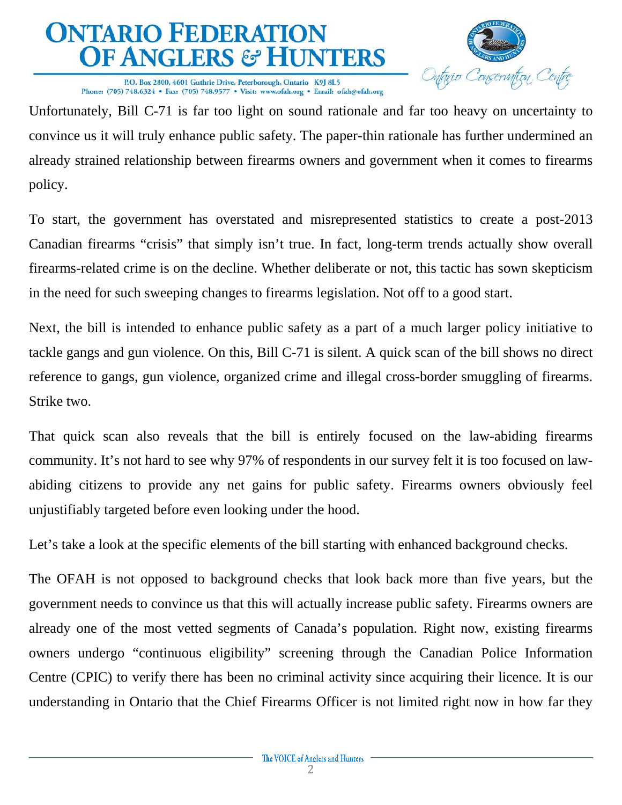

P.O. Box 2800, 4601 Guthrie Drive, Peterborough, Ontario K9J 8L5 Phone: (705) 748.6324 • Fax: (705) 748.9577 • Visit: www.ofah.org • Email: ofah@ofah.org

Unfortunately, Bill C-71 is far too light on sound rationale and far too heavy on uncertainty to convince us it will truly enhance public safety. The paper-thin rationale has further undermined an already strained relationship between firearms owners and government when it comes to firearms policy.

To start, the government has overstated and misrepresented statistics to create a post-2013 Canadian firearms "crisis" that simply isn't true. In fact, long-term trends actually show overall firearms-related crime is on the decline. Whether deliberate or not, this tactic has sown skepticism in the need for such sweeping changes to firearms legislation. Not off to a good start.

Next, the bill is intended to enhance public safety as a part of a much larger policy initiative to tackle gangs and gun violence. On this, Bill C-71 is silent. A quick scan of the bill shows no direct reference to gangs, gun violence, organized crime and illegal cross-border smuggling of firearms. Strike two.

That quick scan also reveals that the bill is entirely focused on the law-abiding firearms community. It's not hard to see why 97% of respondents in our survey felt it is too focused on lawabiding citizens to provide any net gains for public safety. Firearms owners obviously feel unjustifiably targeted before even looking under the hood.

Let's take a look at the specific elements of the bill starting with enhanced background checks.

The OFAH is not opposed to background checks that look back more than five years, but the government needs to convince us that this will actually increase public safety. Firearms owners are already one of the most vetted segments of Canada's population. Right now, existing firearms owners undergo "continuous eligibility" screening through the Canadian Police Information Centre (CPIC) to verify there has been no criminal activity since acquiring their licence. It is our understanding in Ontario that the Chief Firearms Officer is not limited right now in how far they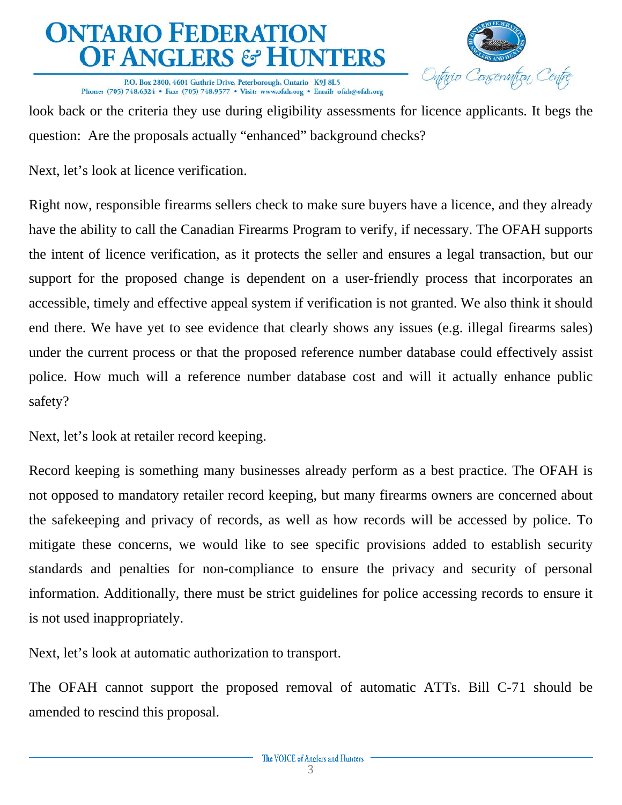

P.O. Box 2800, 4601 Guthrie Drive, Peterborough, Ontario K9J 8L5 Phone: (705) 748.6324 • Fax: (705) 748.9577 • Visit: www.ofah.org • Email: ofah@ofah.org

look back or the criteria they use during eligibility assessments for licence applicants. It begs the question: Are the proposals actually "enhanced" background checks?

Next, let's look at licence verification.

Right now, responsible firearms sellers check to make sure buyers have a licence, and they already have the ability to call the Canadian Firearms Program to verify, if necessary. The OFAH supports the intent of licence verification, as it protects the seller and ensures a legal transaction, but our support for the proposed change is dependent on a user-friendly process that incorporates an accessible, timely and effective appeal system if verification is not granted. We also think it should end there. We have yet to see evidence that clearly shows any issues (e.g. illegal firearms sales) under the current process or that the proposed reference number database could effectively assist police. How much will a reference number database cost and will it actually enhance public safety?

Next, let's look at retailer record keeping.

Record keeping is something many businesses already perform as a best practice. The OFAH is not opposed to mandatory retailer record keeping, but many firearms owners are concerned about the safekeeping and privacy of records, as well as how records will be accessed by police. To mitigate these concerns, we would like to see specific provisions added to establish security standards and penalties for non-compliance to ensure the privacy and security of personal information. Additionally, there must be strict guidelines for police accessing records to ensure it is not used inappropriately.

Next, let's look at automatic authorization to transport.

The OFAH cannot support the proposed removal of automatic ATTs. Bill C-71 should be amended to rescind this proposal.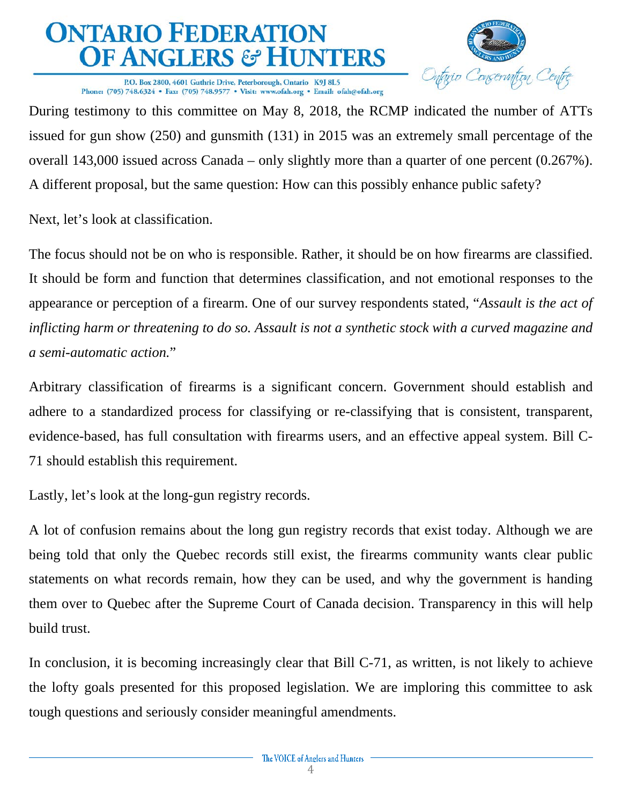

P.O. Box 2800, 4601 Guthrie Drive, Peterborough, Ontario K9J 8L5 Phone: (705) 748.6324 • Fax: (705) 748.9577 • Visit: www.ofah.org • Email: ofah@ofah.org

During testimony to this committee on May 8, 2018, the RCMP indicated the number of ATTs issued for gun show (250) and gunsmith (131) in 2015 was an extremely small percentage of the overall 143,000 issued across Canada – only slightly more than a quarter of one percent (0.267%). A different proposal, but the same question: How can this possibly enhance public safety?

Next, let's look at classification.

The focus should not be on who is responsible. Rather, it should be on how firearms are classified. It should be form and function that determines classification, and not emotional responses to the appearance or perception of a firearm. One of our survey respondents stated, "*Assault is the act of inflicting harm or threatening to do so. Assault is not a synthetic stock with a curved magazine and a semi-automatic action.*"

Arbitrary classification of firearms is a significant concern. Government should establish and adhere to a standardized process for classifying or re-classifying that is consistent, transparent, evidence-based, has full consultation with firearms users, and an effective appeal system. Bill C-71 should establish this requirement.

Lastly, let's look at the long-gun registry records.

A lot of confusion remains about the long gun registry records that exist today. Although we are being told that only the Quebec records still exist, the firearms community wants clear public statements on what records remain, how they can be used, and why the government is handing them over to Quebec after the Supreme Court of Canada decision. Transparency in this will help build trust.

In conclusion, it is becoming increasingly clear that Bill C-71, as written, is not likely to achieve the lofty goals presented for this proposed legislation. We are imploring this committee to ask tough questions and seriously consider meaningful amendments.